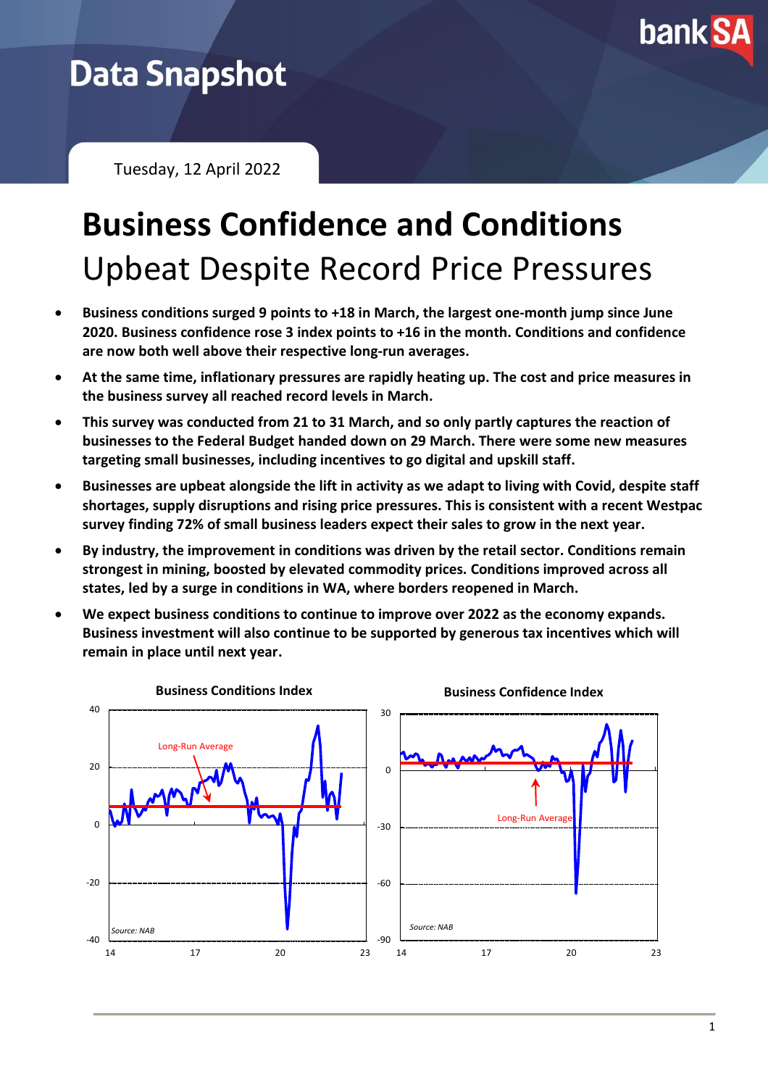

## **Data Snapshot**

Tuesday, 12 April 2022

# **Business Confidence and Conditions** Upbeat Despite Record Price Pressures

- **Business conditions surged 9 points to +18 in March, the largest one-month jump since June 2020. Business confidence rose 3 index points to +16 in the month. Conditions and confidence are now both well above their respective long-run averages.**
- **At the same time, inflationary pressures are rapidly heating up. The cost and price measures in the business survey all reached record levels in March.**
- **This survey was conducted from 21 to 31 March, and so only partly captures the reaction of businesses to the Federal Budget handed down on 29 March. There were some new measures targeting small businesses, including incentives to go digital and upskill staff.**
- **Businesses are upbeat alongside the lift in activity as we adapt to living with Covid, despite staff shortages, supply disruptions and rising price pressures. This is consistent with a recent Westpac survey finding 72% of small business leaders expect their sales to grow in the next year.**
- **By industry, the improvement in conditions was driven by the retail sector. Conditions remain strongest in mining, boosted by elevated commodity prices. Conditions improved across all states, led by a surge in conditions in WA, where borders reopened in March.**
- **We expect business conditions to continue to improve over 2022 as the economy expands. Business investment will also continue to be supported by generous tax incentives which will remain in place until next year.**

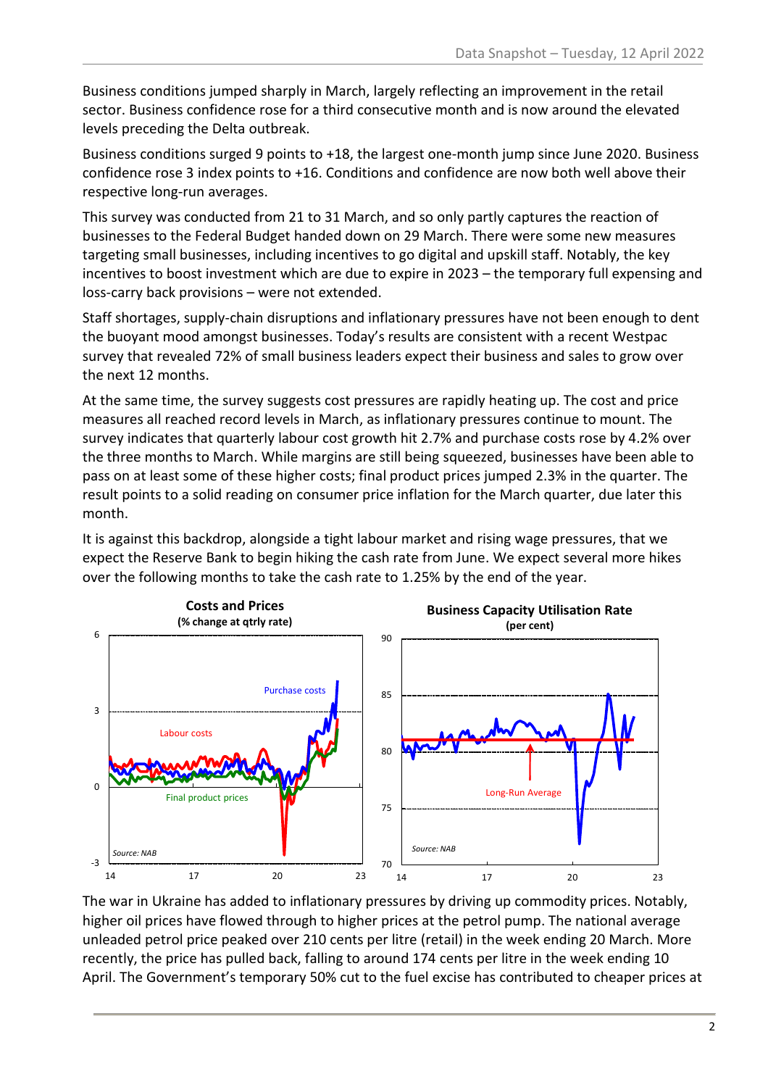Business conditions jumped sharply in March, largely reflecting an improvement in the retail sector. Business confidence rose for a third consecutive month and is now around the elevated levels preceding the Delta outbreak.

Business conditions surged 9 points to +18, the largest one-month jump since June 2020. Business confidence rose 3 index points to +16. Conditions and confidence are now both well above their respective long-run averages.

This survey was conducted from 21 to 31 March, and so only partly captures the reaction of businesses to the Federal Budget handed down on 29 March. There were some new measures targeting small businesses, including incentives to go digital and upskill staff. Notably, the key incentives to boost investment which are due to expire in 2023 – the temporary full expensing and loss-carry back provisions – were not extended.

Staff shortages, supply-chain disruptions and inflationary pressures have not been enough to dent the buoyant mood amongst businesses. Today's results are consistent with a recent Westpac survey that revealed 72% of small business leaders expect their business and sales to grow over the next 12 months.

At the same time, the survey suggests cost pressures are rapidly heating up. The cost and price measures all reached record levels in March, as inflationary pressures continue to mount. The survey indicates that quarterly labour cost growth hit 2.7% and purchase costs rose by 4.2% over the three months to March. While margins are still being squeezed, businesses have been able to pass on at least some of these higher costs; final product prices jumped 2.3% in the quarter. The result points to a solid reading on consumer price inflation for the March quarter, due later this month.

It is against this backdrop, alongside a tight labour market and rising wage pressures, that we expect the Reserve Bank to begin hiking the cash rate from June. We expect several more hikes over the following months to take the cash rate to 1.25% by the end of the year.



The war in Ukraine has added to inflationary pressures by driving up commodity prices. Notably, higher oil prices have flowed through to higher prices at the petrol pump. The national average unleaded petrol price peaked over 210 cents per litre (retail) in the week ending 20 March. More recently, the price has pulled back, falling to around 174 cents per litre in the week ending 10 April. The Government's temporary 50% cut to the fuel excise has contributed to cheaper prices at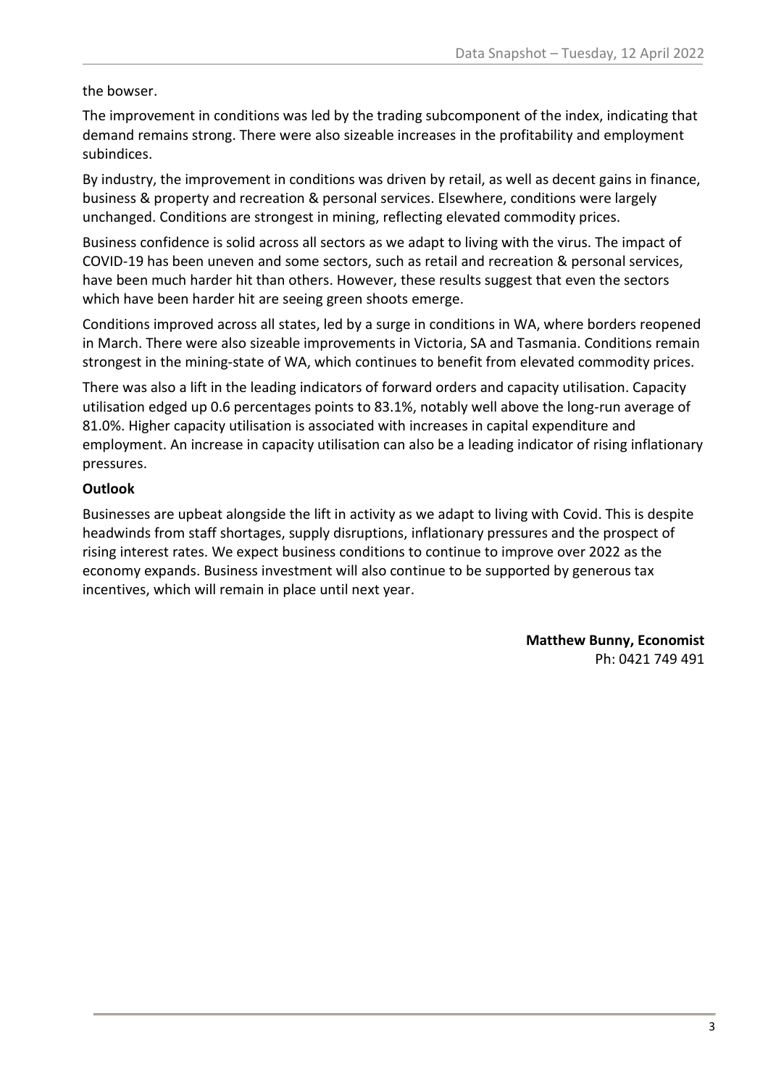#### the bowser.

The improvement in conditions was led by the trading subcomponent of the index, indicating that demand remains strong. There were also sizeable increases in the profitability and employment subindices.

By industry, the improvement in conditions was driven by retail, as well as decent gains in finance, business & property and recreation & personal services. Elsewhere, conditions were largely unchanged. Conditions are strongest in mining, reflecting elevated commodity prices.

Business confidence is solid across all sectors as we adapt to living with the virus. The impact of COVID-19 has been uneven and some sectors, such as retail and recreation & personal services, have been much harder hit than others. However, these results suggest that even the sectors which have been harder hit are seeing green shoots emerge.

Conditions improved across all states, led by a surge in conditions in WA, where borders reopened in March. There were also sizeable improvements in Victoria, SA and Tasmania. Conditions remain strongest in the mining-state of WA, which continues to benefit from elevated commodity prices.

There was also a lift in the leading indicators of forward orders and capacity utilisation. Capacity utilisation edged up 0.6 percentages points to 83.1%, notably well above the long-run average of 81.0%. Higher capacity utilisation is associated with increases in capital expenditure and employment. An increase in capacity utilisation can also be a leading indicator of rising inflationary pressures.

#### **Outlook**

Businesses are upbeat alongside the lift in activity as we adapt to living with Covid. This is despite headwinds from staff shortages, supply disruptions, inflationary pressures and the prospect of rising interest rates. We expect business conditions to continue to improve over 2022 as the economy expands. Business investment will also continue to be supported by generous tax incentives, which will remain in place until next year.

> **Matthew Bunny, Economist** Ph: 0421 749 491